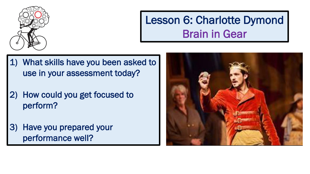

### Lesson 6: Charlotte Dymond Brain in Gear

- 1) What skills have you been asked to use in your assessment today?
- 2) How could you get focused to perform?
- 3) Have you prepared your performance well?

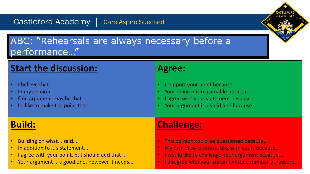Castleford Academy | Care Aspire Succeed

#### ABC: "Rehearsals are always necessary before a performance…"

| <b>Start the discussion:</b>                                                                   | <b>Agree:</b>                                                                                                                                     |
|------------------------------------------------------------------------------------------------|---------------------------------------------------------------------------------------------------------------------------------------------------|
| I believe that<br>In my opinion<br>One argument may be that<br>I'd like to make the point that | I support your point because<br>Your opinion is reasonable because<br>I agree with your statement because<br>Your argument is a valid one because |
|                                                                                                |                                                                                                                                                   |
| <b>Build:</b>                                                                                  | <b>Challenge:</b>                                                                                                                                 |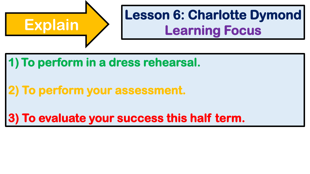

# **Lesson 6: Charlotte Dymond<br>
Learning Focus**

**1) To perform in a dress rehearsal.**

**2) To perform your assessment.**

**3) To evaluate your success this half term.**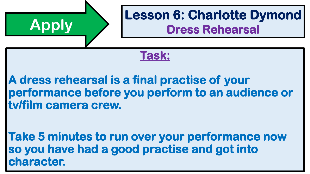## **Apply Lesson 6: Charlotte Dymond Dress Rehearsal**

#### **Task:**

### **A dress rehearsal is a final practise of your performance before you perform to an audience or tv/film camera crew.**

**Take 5 minutes to run over your performance now so you have had a good practise and got into character.**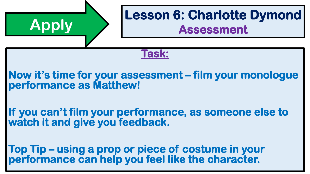# **Task: Now it's time for your assessment – film your monologue performance as Matthew! If you can't film your performance, as someone else to watch it and give you feedback. Top Tip – using a prop or piece of costume in your Apply Lesson 6: Charlotte Dymond Assessment**

**performance can help you feel like the character.**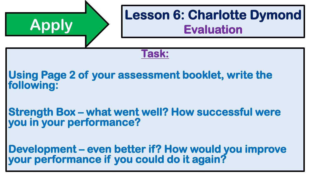# **Task: Using Page 2 of your assessment booklet, write the following: Strength Box – what went well? How successful were you in your performance? Apply Lesson 6: Charlotte Dymond Evaluation**

**Development – even better if? How would you improve your performance if you could do it again?**